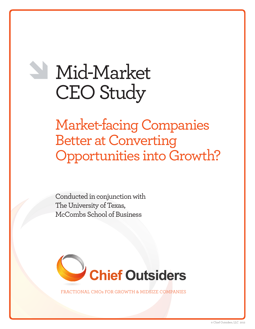# Mid-Market CEO Study

Market-facing Companies Better at Converting Opportunities into Growth?

Conducted in conjunction with The University of Texas, McCombs School of Business



NAL CMOs FOR GROWTH & MIDSIZE COMPANIES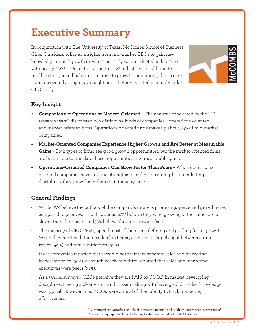# **Executive Summary**

In conjunction with The University of Texas, McCombs School of Business, Chief Outsiders solicited insights from mid-market CEOs to gain new knowledge around growth drivers. The study was conducted in late 2011 with nearly 200 CEOs participating from 27 industries. In addition to profiling the general behaviors relative to growth orientations, the research team uncovered a major key insight never before reported in a mid-market CEO study.



# **Key Insight**

- **• Companies are Operations or Market-Oriented** The analysis conducted by the UT research team\* discovered two distinctive kinds of companies – operations-oriented and market-oriented firms. Operations-oriented firms make up about 55% of mid-market companies.
- **• Market-Oriented Companies Experience Higher Growth and Are Better at Measurable Gains** – Both types of firms see good growth opportunities, but the market-oriented firms are better able to translate those opportunities into measurable gains.
- **Operations-Oriented Companies Can Grow Faster Than Peers** When operationsoriented companies have existing strengths in or develop strengths in marketing disciplines, they grow faster than their industry peers.

# **General Findings**

- While 83% believe the outlook of the company's future is promising, perceived growth rates compared to peers was much lower as 45% believe they were growing at the same rate or slower than their peers and55% believe they are growing faster.
- The majority of CEOs (64%) spend most of their time defining and guiding future growth. When they meet with their leadership teams, attention is largely split between current issues (44%) and future initiatives (32%).
- Most companies reported that they did not maintain separate sales and marketing leadership roles (58%), although nearly one-third reported that sales and marketing executives were peers (31%).
- As a whole, surveyed CEOs perceive they are FAIR to GOOD in market-developing disciplines. Having a clear vision and mission, along with having solid market knowledge was typical. However, most CEOs were critical of their ability to track marketing effectiveness.

\* "Organized For Growth: The Role of Marketing in Small and Medium Enterprises" University of Texas working paper by Jade DeKinder, Ty Henderson and Leigh McAlister, 2012.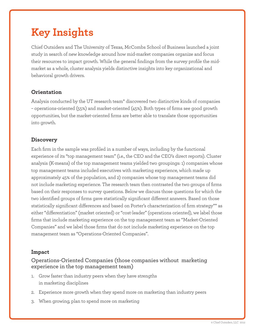# **Key Insights**

Chief Outsiders and The University of Texas, McCombs School of Business launched a joint study in search of new knowledge around how mid-market companies organize and focus their resources to impact growth. While the general findings from the survey profile the midmarket as a whole, cluster analysis yields distinctive insights into key organizational and behavioral growth drivers.

## **Orientation**

Analysis conducted by the UT research team\* discovered two distinctive kinds of companies – operations-oriented (55%) and market-oriented (45%). Both types of firms see good growth opportunities, but the market-oriented firms are better able to translate those opportunities into growth.

# **Discovery**

Each firm in the sample was profiled in a number of ways, including by the functional experience of its "top management team" (i.e., the CEO and the CEO's direct reports). Cluster analysis (K-means) of the top management teams yielded two groupings: 1) companies whose top management teams included executives with marketing experience, which made up approximately 45% of the population, and 2) companies whose top management teams did not include marketing experience. The research team then contrasted the two groups of firms based on their responses to survey questions. Below we discuss those questions for which the two identified groups of firms gave statistically significant different answers. Based on those statistically significant differences and based on Porter's characterization of firm strategy\*\* as either "differentiation" (market oriented) or "cost-leader" (operations oriented), we label those firms that include marketing experience on the top management team as "Market-Oriented Companies" and we label those firms that do not include marketing experience on the top management team as "Operations-Oriented Companies".

#### **Impact**

### Operations-Oriented Companies (those companies without marketing experience in the top management team)

- 1. Grow faster than industry peers when they have strengths in marketing disciplines
- 2. Experience more growth when they spend more on marketing than industry peers
- 3. When growing, plan to spend more on marketing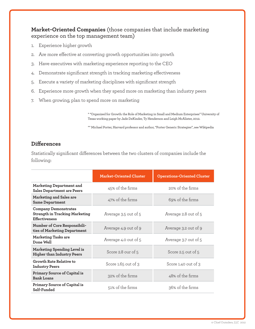#### **Market-Oriented Companies** (those companies that include marketing experience on the top management team)

- 1. Experience higher growth
- 2. Are more effective at converting growth opportunities into growth
- 3. Have executives with marketing experience reporting to the CEO
- 4. Demonstrate significant strength in tracking marketing effectiveness
- 5. Execute a variety of marketing disciplines with significant strength
- 6. Experience more growth when they spend more on marketing than industry peers
- 7. When growing, plan to spend more on marketing

\* "Organized for Growth: the Role of Marketing in Small and Medium Enterprises" University of Texas working paper by Jade DeKinder, Ty Henderson and Leigh McAlister, 2012.

\*\* Michael Porter, Harvard professor and author, "Porter Generic Strategies", see Wikipedia

#### **Differences**

Statistically significant differences between the two clusters of companies include the following:

|                                                                                              | <b>Market-Oriented Cluster</b> | <b>Operations-Oriented Cluster</b> |
|----------------------------------------------------------------------------------------------|--------------------------------|------------------------------------|
| <b>Marketing Department and</b><br><b>Sales Department are Peers</b>                         | 45% of the firms               | 20% of the firms                   |
| Marketing and Sales are<br><b>Same Department</b>                                            | 47% of the firms               | 69% of the firms                   |
| <b>Company Demonstrates</b><br><b>Strength in Tracking Marketing</b><br><b>Effectiveness</b> | Average 3.5 out of 5           | Average 2.8 out of 5               |
| Number of Core Responsibili-<br>ties of Marketing Department                                 | Average 4.9 out of 9           | Average 3.2 out of 9               |
| <b>Marketing Tasks are</b><br>Done Well                                                      | Average 4.0 out of 5           | Average 3.7 out of 5               |
| <b>Marketing Spending Level is</b><br><b>Higher than Industry Peers</b>                      | Score 2.8 our of 5             | Score 2.5 out of 5                 |
| Growth Rate Relative to<br><b>Industry Peers</b>                                             | Score 1.65 out of 3            | Score 1.40 out of 3                |
| Primary Source of Capital is<br><b>Bank Loans</b>                                            | 32% of the firms               | 48% of the firms                   |
| Primary Source of Capital is<br>Self-Funded                                                  | 51% of the firms               | 36% of the firms                   |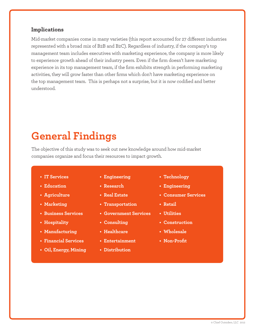#### **Implications**

Mid-market companies come in many varieties (this report accounted for 27 different industries represented with a broad mix of B2B and B2C). Regardless of industry, if the company's top management team includes executives with marketing experience, the company is more likely to experience growth ahead of their industry peers. Even if the firm doesn't have marketing experience in its top management team, if the firm exhibits strength in performing marketing activities, they will grow faster than other firms which don't have marketing experience on the top management team. This is perhaps not a surprise, but it is now codified and better understood.

# **General Findings**

The objective of this study was to seek out new knowledge around how mid-market companies organize and focus their resources to impact growth.

- 
- **• Education**
- **• Agriculture**
- **• Marketing**
- **• Business Services**
- **• Hospitality**
- **• Manufacturing**
- **• Financial Services**
- **• Oil, Energy, Mining**
- **184 CEOs from the following 27 industries participated: • IT Services • Engineering**
	- **• Research**
	- **• Real Estate**
	- **• Transportation**
	- **• Government Services**
	- **• Consulting**
	- **• Healthcare**
	- **• Entertainment**
	- **• Distribution**
- **• Technology**
- **• Engineering**
- **• Consumer Services**
- **• Retail**
- **• Utilities**
- **• Construction**
- **• Wholesale**
- **• Non-Profit**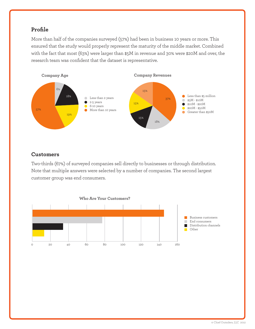# **Profile**

More than half of the companies surveyed (57%) had been in business 10 years or more. This ensured that the study would properly represent the maturity of the middle market. Combined with the fact that most (63%) were larger than \$5M in revenue and 30% were \$20M and over, the research team was confident that the dataset is representative.



#### **Customers**

Two-thirds (67%) of surveyed companies sell directly to businesses or through distribution. Note that multiple answers were selected by a number of companies. The second largest customer group was end consumers.

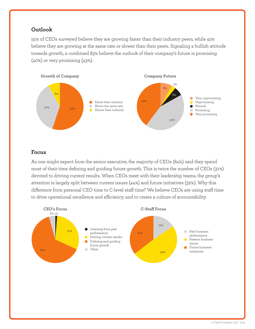### **Outlook**

55% of CEOs surveyed believe they are growing faster than their industry peers, while 45% believe they are growing at the same rate or slower than their peers. Signaling a bullish attitude towards growth, a combined 83% believe the outlook of their company's future is promising (40%) or very promising (43%).



#### **Focus**

As one might expect from the senior executive, the majority of CEOs (64%) said they spend most of their time defining and guiding future growth. This is twice the number of CEOs (31%) devoted to driving current results. When CEOs meet with their leadership teams, the group's attention is largely split between current issues (44%) and future initiatives (32%). Why this difference from personal CEO time to C-level staff time? We believe CEOs are using staff time to drive operational excellence and efficiency, and to create a culture of accountability.

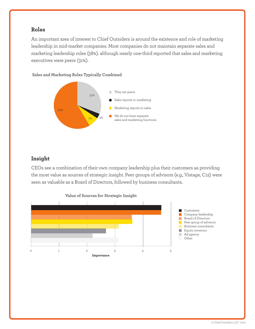#### **Roles**

An important area of interest to Chief Outsiders is around the existence and role of marketing leadership in mid-market companies. Most companies do not maintain separate sales and marketing leadership roles (58%). although nearly one-third reported that sales and marketing executives were peers (31%).

**Sales and Marketing Roles Typically Combined** 



# **Insight**

CEOs see a combination of their own company leadership plus their customers as providing the most value as sources of strategic insight. Peer groups of advisors (e.g., Vistage, C12) were seen as valuable as a Board of Directors, followed by business consultants.

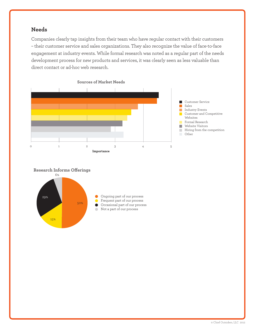#### **Needs**

Companies clearly tap insights from their team who have regular contact with their customers – their customer service and sales organizations. They also recognize the value of face-to-face engagement at industry events. While formal research was noted as a regular part of the needs development process for new products and services, it was clearly seen as less valuable than direct contact or ad-hoc web research.





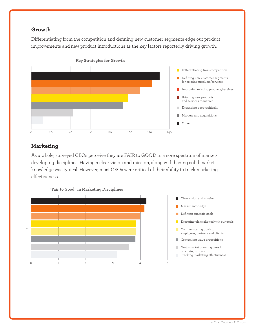# **Growth**

Differentiating from the competition and defining new customer segments edge out product improvements and new product introductions as the key factors reportedly driving growth.



# **Marketing**

As a whole, surveyed CEOs perceive they are FAIR to GOOD in a core spectrum of marketdeveloping disciplines. Having a clear vision and mission, along with having solid market knowledge was typical. However, most CEOs were critical of their ability to track marketing effectiveness.

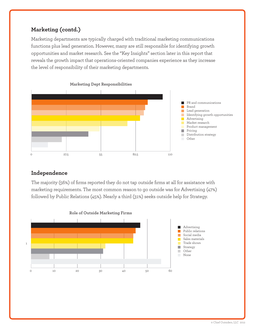# **Marketing (contd.)**

Marketing departments are typically charged with traditional marketing communications functions plus lead generation. However, many are still responsible for identifying growth opportunities and market research. See the "Key Insights" section later in this report that reveals the growth impact that operations-oriented companies experience as they increase the level of responsibility of their marketing departments.



#### **Independence**

The majority (56%) of firms reported they do not tap outside firms at all for assistance with marketing requirements. The most common reason to go outside was for Advertising (47%) followed by Public Relations (45%). Nearly a third (31%) seeks outside help for Strategy.